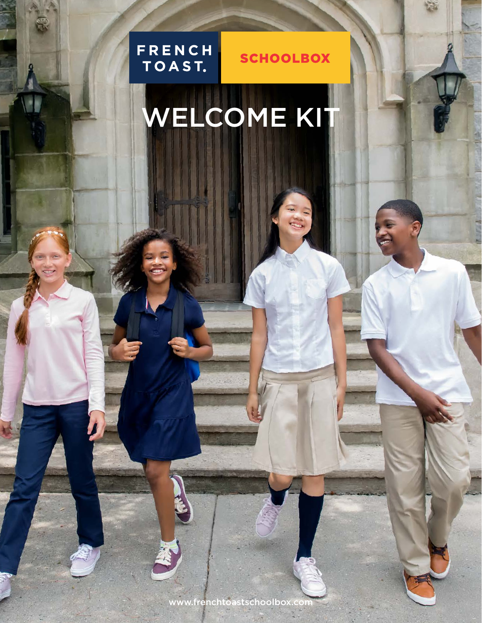

**SCHOOLBOX** 

# WELCOME KIT

www.frenchtoastschoolbox.com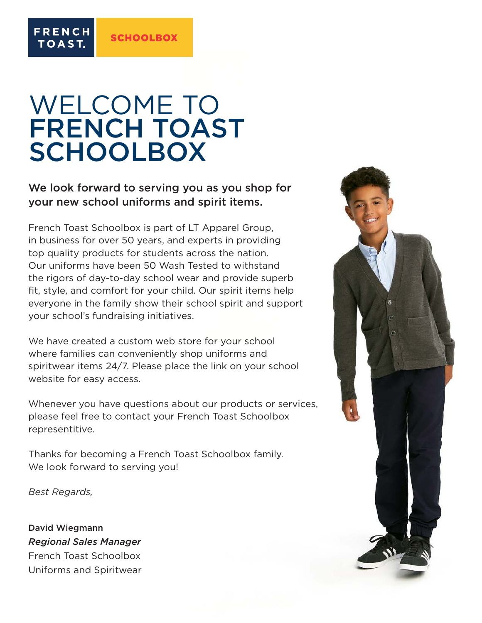**FRENCH** 

TOAST.

### WELCOME TO FRENCH TOAST **SCHOOLBOX**

#### We look forward to serving you as you shop for your new school uniforms and spirit items.

French Toast Schoolbox is part of LT Apparel Group, in business for over 50 years, and experts in providing top quality products for students across the nation. Our uniforms have been 50 Wash Tested to withstand the rigors of day-to-day school wear and provide superb fit, style, and comfort for your child. Our spirit items help everyone in the family show their school spirit and support your school's fundraising initiatives.

We have created a custom web store for your school where families can conveniently shop uniforms and spiritwear items 24/7. Please place the link on your school website for easy access.

Whenever you have questions about our products or services, please feel free to contact your French Toast Schoolbox representitive.

Thanks for becoming a French Toast Schoolbox family. We look forward to serving you!

*Best Regards,*

David Wiegmann *Regional Sales Manager* French Toast Schoolbox Uniforms and Spiritwear

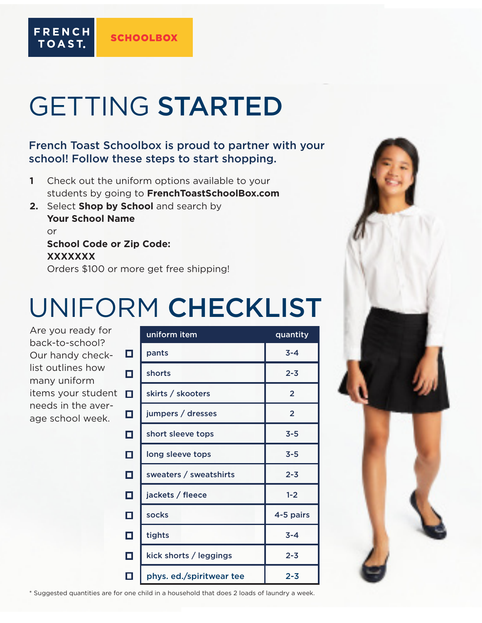## GETTING STARTED

**SCHOOLBOX** 

#### French Toast Schoolbox is proud to partner with your school! Follow these steps to start shopping.

- **1** Check out the uniform options available to your students by going to **FrenchToastSchoolBox.com**
- **2.** Select **Shop by School** and search by **Your School Name** or **School Code or Zip Code: XXXXXXX**

Orders \$100 or more get free shipping!

### UNIFORM CHECKLIST

Are you ready for back-to-school? Our handy checklist outlines how many uniform items your student **L** needs in the average school week.

**FRENCH** 

TOAST.

|        | uniform item             | quantity       |
|--------|--------------------------|----------------|
| $\Box$ | pants                    | $3 - 4$        |
| $\Box$ | shorts                   | $2 - 3$        |
| $\Box$ | skirts / skooters        | $\overline{2}$ |
| $\Box$ | jumpers / dresses        | $\overline{2}$ |
| $\Box$ | short sleeve tops        | $3 - 5$        |
| $\Box$ | long sleeve tops         | $3 - 5$        |
| $\Box$ | sweaters / sweatshirts   | $2 - 3$        |
| $\Box$ | jackets / fleece         | $1 - 2$        |
| $\Box$ | socks                    | 4-5 pairs      |
| $\Box$ | tights                   | $3 - 4$        |
| $\Box$ | kick shorts / leggings   | $2 - 3$        |
| П      | phys. ed./spiritwear tee | $2 - 3$        |



\* Suggested quantities are for one child in a household that does 2 loads of laundry a week.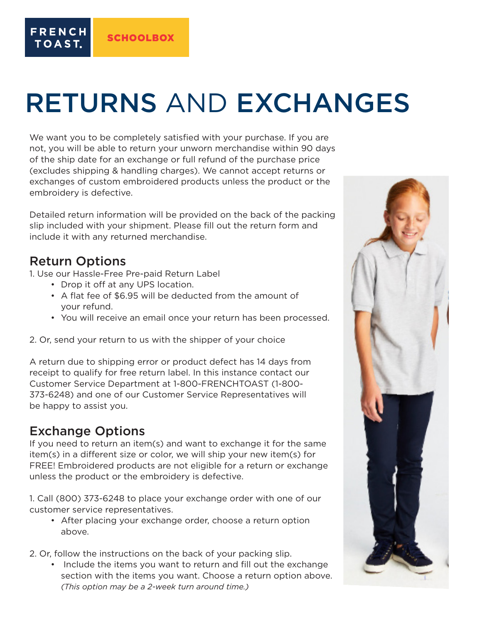### RETURNS AND EXCHANGES

We want you to be completely satisfied with your purchase. If you are not, you will be able to return your unworn merchandise within 90 days of the ship date for an exchange or full refund of the purchase price (excludes shipping & handling charges). We cannot accept returns or exchanges of custom embroidered products unless the product or the embroidery is defective.

Detailed return information will be provided on the back of the packing slip included with your shipment. Please fill out the return form and include it with any returned merchandise.

#### Return Options

**FRENCH** 

TOAST.

1. Use our Hassle-Free Pre-paid Return Label

- Drop it off at any UPS location.
- A flat fee of \$6.95 will be deducted from the amount of your refund.
- You will receive an email once your return has been processed.

2. Or, send your return to us with the shipper of your choice

A return due to shipping error or product defect has 14 days from receipt to qualify for free return label. In this instance contact our Customer Service Department at 1-800-FRENCHTOAST (1-800- 373-6248) and one of our Customer Service Representatives will be happy to assist you.

#### Exchange Options

If you need to return an item(s) and want to exchange it for the same item(s) in a different size or color, we will ship your new item(s) for FREE! Embroidered products are not eligible for a return or exchange unless the product or the embroidery is defective.

1. Call (800) 373-6248 to place your exchange order with one of our customer service representatives.

- After placing your exchange order, choose a return option above.
- 2. Or, follow the instructions on the back of your packing slip.
	- Include the items you want to return and fill out the exchange section with the items you want. Choose a return option above.  *(This option may be a 2-week turn around time.)*